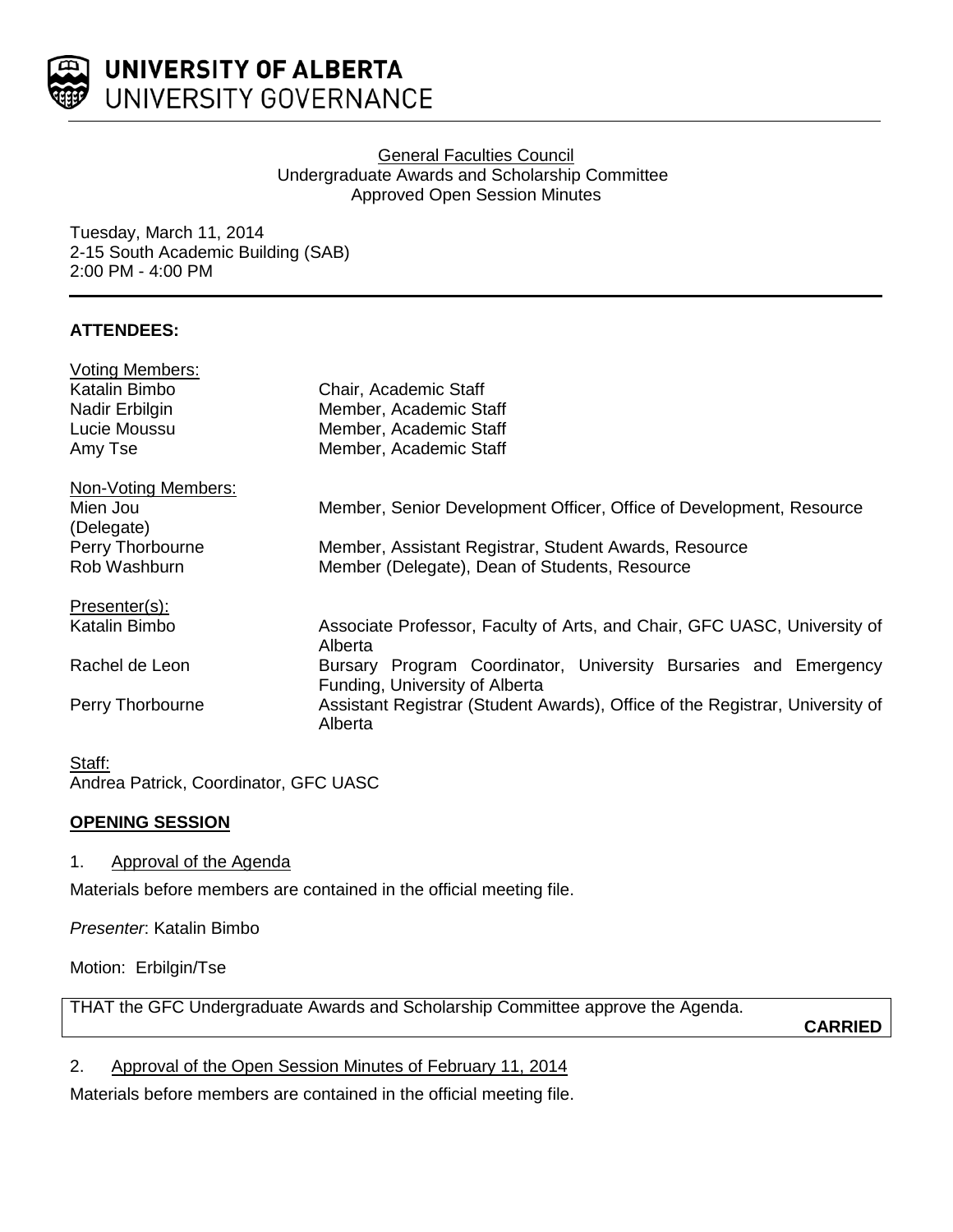

# General Faculties Council Undergraduate Awards and Scholarship Committee Approved Open Session Minutes

Tuesday, March 11, 2014 2-15 South Academic Building (SAB) 2:00 PM - 4:00 PM

# **ATTENDEES:**

| <b>Voting Members:</b> |                                                                                                   |
|------------------------|---------------------------------------------------------------------------------------------------|
| Katalin Bimbo          | Chair, Academic Staff                                                                             |
| Nadir Erbilgin         | Member, Academic Staff                                                                            |
| Lucie Moussu           | Member, Academic Staff                                                                            |
| Amy Tse                | Member, Academic Staff                                                                            |
| Non-Voting Members:    |                                                                                                   |
| Mien Jou               | Member, Senior Development Officer, Office of Development, Resource                               |
| (Delegate)             |                                                                                                   |
| Perry Thorbourne       | Member, Assistant Registrar, Student Awards, Resource                                             |
| Rob Washburn           | Member (Delegate), Dean of Students, Resource                                                     |
| Presenter(s):          |                                                                                                   |
| Katalin Bimbo          | Associate Professor, Faculty of Arts, and Chair, GFC UASC, University of                          |
|                        | Alberta                                                                                           |
| Rachel de Leon         | Bursary Program Coordinator, University Bursaries and Emergency<br>Funding, University of Alberta |
| Perry Thorbourne       | Assistant Registrar (Student Awards), Office of the Registrar, University of<br>Alberta           |

### Staff: Andrea Patrick, Coordinator, GFC UASC

# **OPENING SESSION**

# 1. Approval of the Agenda

Materials before members are contained in the official meeting file.

*Presenter*: Katalin Bimbo

Motion: Erbilgin/Tse

THAT the GFC Undergraduate Awards and Scholarship Committee approve the Agenda.

**CARRIED**

2. Approval of the Open Session Minutes of February 11, 2014

Materials before members are contained in the official meeting file.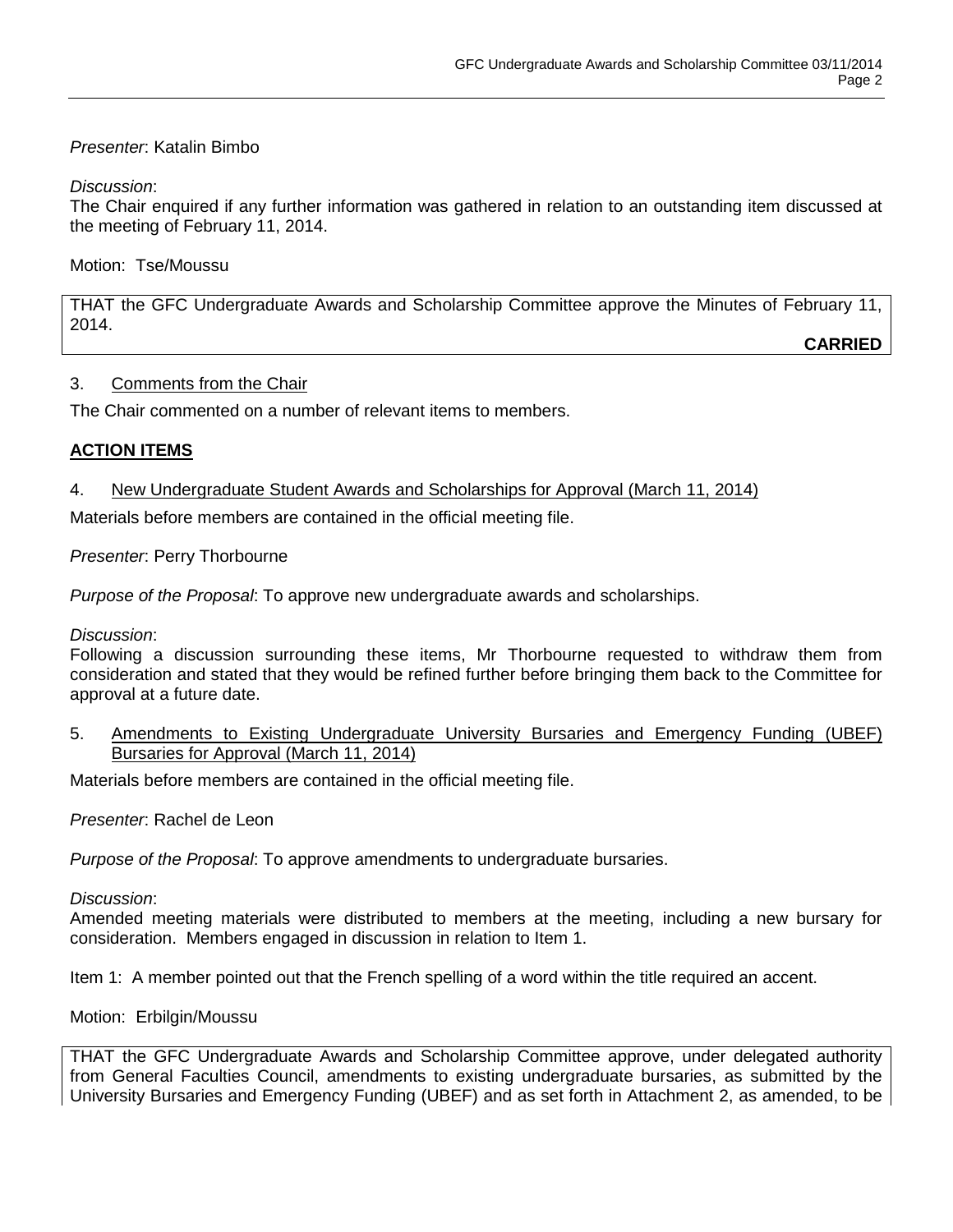# *Presenter*: Katalin Bimbo

#### *Discussion*:

The Chair enquired if any further information was gathered in relation to an outstanding item discussed at the meeting of February 11, 2014.

### Motion: Tse/Moussu

THAT the GFC Undergraduate Awards and Scholarship Committee approve the Minutes of February 11, 2014.

**CARRIED**

# 3. Comments from the Chair

The Chair commented on a number of relevant items to members.

# **ACTION ITEMS**

#### 4. New Undergraduate Student Awards and Scholarships for Approval (March 11, 2014)

Materials before members are contained in the official meeting file.

### *Presenter*: Perry Thorbourne

*Purpose of the Proposal*: To approve new undergraduate awards and scholarships.

### *Discussion*:

Following a discussion surrounding these items, Mr Thorbourne requested to withdraw them from consideration and stated that they would be refined further before bringing them back to the Committee for approval at a future date.

5. Amendments to Existing Undergraduate University Bursaries and Emergency Funding (UBEF) Bursaries for Approval (March 11, 2014)

Materials before members are contained in the official meeting file.

*Presenter*: Rachel de Leon

*Purpose of the Proposal*: To approve amendments to undergraduate bursaries.

#### *Discussion*:

Amended meeting materials were distributed to members at the meeting, including a new bursary for consideration. Members engaged in discussion in relation to Item 1.

Item 1: A member pointed out that the French spelling of a word within the title required an accent.

#### Motion: Erbilgin/Moussu

THAT the GFC Undergraduate Awards and Scholarship Committee approve, under delegated authority from General Faculties Council, amendments to existing undergraduate bursaries, as submitted by the University Bursaries and Emergency Funding (UBEF) and as set forth in Attachment 2, as amended, to be